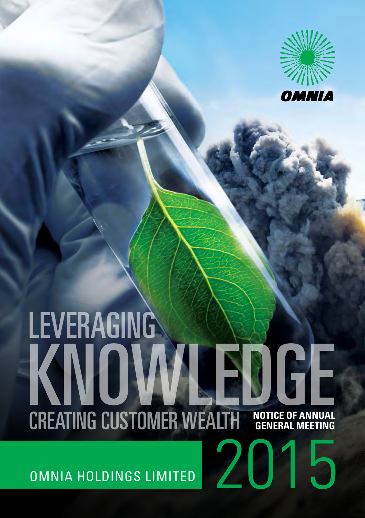

# **LEVERAGING** KNOWLEDGE **CREATING CUSTOMER WEALTH NOTICE OF ANNUAL<br>GENERAL MEETING**

OMNIA HOLDINGS LIMITED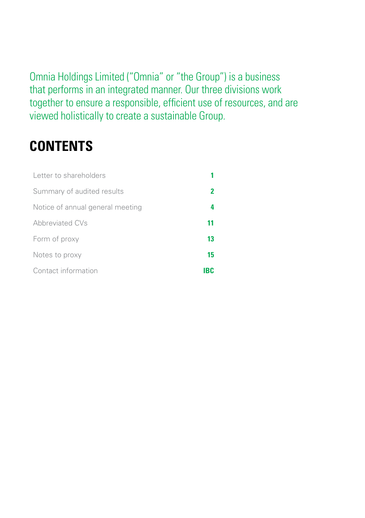Omnia Holdings Limited ("Omnia" or "the Group") is a business that performs in an integrated manner. Our three divisions work together to ensure a responsible, efficient use of resources, and are viewed holistically to create a sustainable Group.

# **CONTENTS**

| Letter to shareholders           |     |
|----------------------------------|-----|
| Summary of audited results       |     |
| Notice of annual general meeting |     |
| Abbreviated CVs                  |     |
| Form of proxy                    | 13  |
| Notes to proxy                   | 15  |
| Contact information              | IBC |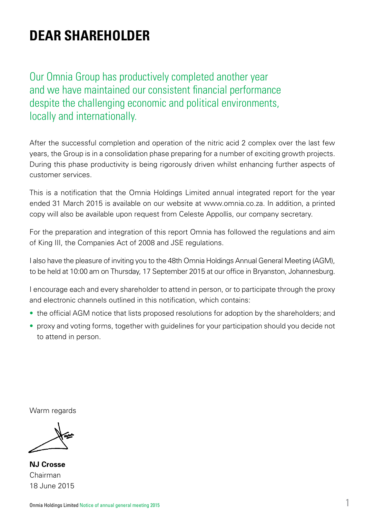# **DEAR SHAREHOLDER**

Our Omnia Group has productively completed another year and we have maintained our consistent financial performance despite the challenging economic and political environments, locally and internationally.

After the successful completion and operation of the nitric acid 2 complex over the last few years, the Group is in a consolidation phase preparing for a number of exciting growth projects. During this phase productivity is being rigorously driven whilst enhancing further aspects of customer services.

This is a notification that the Omnia Holdings Limited annual integrated report for the year ended 31 March 2015 is available on our website at www.omnia.co.za. In addition, a printed copy will also be available upon request from Celeste Appollis, our company secretary.

For the preparation and integration of this report Omnia has followed the regulations and aim of King III, the Companies Act of 2008 and JSE regulations.

I also have the pleasure of inviting you to the 48th Omnia Holdings Annual General Meeting (AGM), to be held at 10:00 am on Thursday, 17 September 2015 at our office in Bryanston, Johannesburg.

I encourage each and every shareholder to attend in person, or to participate through the proxy and electronic channels outlined in this notification, which contains:

- the official AGM notice that lists proposed resolutions for adoption by the shareholders; and
- proxy and voting forms, together with guidelines for your participation should you decide not to attend in person.

Warm regards

**NJ Crosse** Chairman 18 June 2015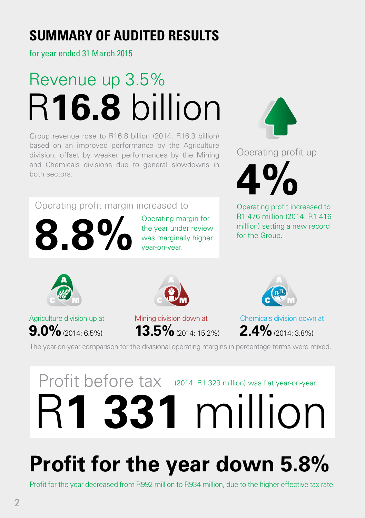# **SUMMARY OF AUDITED RESULTS**

for year ended 31 March 2015

# Revenue up 3.5% R**16.8** billion

Group revenue rose to R16.8 billion (2014: R16.3 billion) based on an improved performance by the Agriculture division, offset by weaker performances by the Mining and Chemicals divisions due to general slowdowns in both sectors.

Operating profit margin increased to



Operating margin for the year under review was marginally higher year-on-year.



Operating profit up



Operating profit increased to R1 476 million (2014: R1 416 million) setting a new record for the Group.



Agriculture division up at **9.0%** (2014: 6.5%)



Mining division down at **13.5%** (2014: 15.2%)



Chemicals division down at **2.4%** (2014: 3.8%)

The year-on-year comparison for the divisional operating margins in percentage terms were mixed.

# Profit before tax (2014: R1 329 million) was flat year-on-year. R**1 331** million

# **Profit for the year down 5.8%**

Profit for the year decreased from R992 million to R934 million, due to the higher effective tax rate.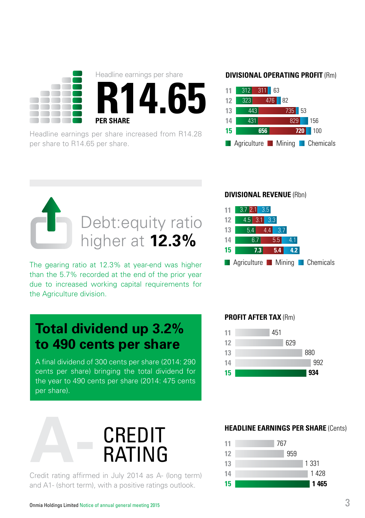Headline earnings per share **R14.65 PER SHARE**

Headline earnings per share increased from R14.28 per share to R14.65 per share.

# Debt:equity ratio higher at **12.3%**

The gearing ratio at 12.3% at year-end was higher than the 5.7% recorded at the end of the prior year due to increased working capital requirements for the Agriculture division.

# **Total dividend up 3.2% to 490 cents per share**

A final dividend of 300 cents per share (2014: 290 cents per share) bringing the total dividend for the year to 490 cents per share (2014: 475 cents per share).

Credit rating affirmed in July 2014 as A- (long term) and A1- (short term), with a positive ratings outlook.

CREDIT **A-** RATING



## **DIVISIONAL REVENUE** (Rbn)



## **PROFIT AFTER TAX** (Rm)



## **HEADLINE EARNINGS PER SHARE** (Cents)

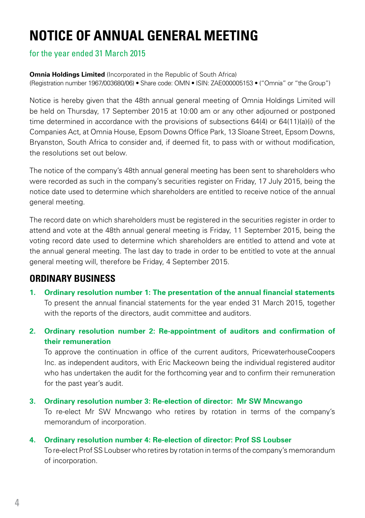# **NOTICE OF ANNUAL GENERAL MEETING**

# for the year ended 31 March 2015

**Omnia Holdings Limited** (Incorporated in the Republic of South Africa) (Registration number 1967/003680/06) • Share code: OMN • ISIN: ZAE000005153 • ("Omnia" or "the Group")

Notice is hereby given that the 48th annual general meeting of Omnia Holdings Limited will be held on Thursday, 17 September 2015 at 10:00 am or any other adjourned or postponed time determined in accordance with the provisions of subsections 64(4) or 64(11)(a)(i) of the Companies Act, at Omnia House, Epsom Downs Office Park, 13 Sloane Street, Epsom Downs, Bryanston, South Africa to consider and, if deemed fit, to pass with or without modification, the resolutions set out below.

The notice of the company's 48th annual general meeting has been sent to shareholders who were recorded as such in the company's securities register on Friday, 17 July 2015, being the notice date used to determine which shareholders are entitled to receive notice of the annual general meeting.

The record date on which shareholders must be registered in the securities register in order to attend and vote at the 48th annual general meeting is Friday, 11 September 2015, being the voting record date used to determine which shareholders are entitled to attend and vote at the annual general meeting. The last day to trade in order to be entitled to vote at the annual general meeting will, therefore be Friday, 4 September 2015.

# **ORDINARY BUSINESS**

- **1. Ordinary resolution number 1: The presentation of the annual financial statements** To present the annual financial statements for the year ended 31 March 2015, together with the reports of the directors, audit committee and auditors.
- **2. Ordinary resolution number 2: Re-appointment of auditors and confirmation of their remuneration**

 To approve the continuation in office of the current auditors, PricewaterhouseCoopers Inc. as independent auditors, with Eric Mackeown being the individual registered auditor who has undertaken the audit for the forthcoming year and to confirm their remuneration for the past year's audit.

## **3. Ordinary resolution number 3: Re-election of director: Mr SW Mncwango**

 To re-elect Mr SW Mncwango who retires by rotation in terms of the company's memorandum of incorporation.

## **4. Ordinary resolution number 4: Re-election of director: Prof SS Loubser**

 To re-elect Prof SS Loubser who retires by rotation in terms of the company's memorandum of incorporation.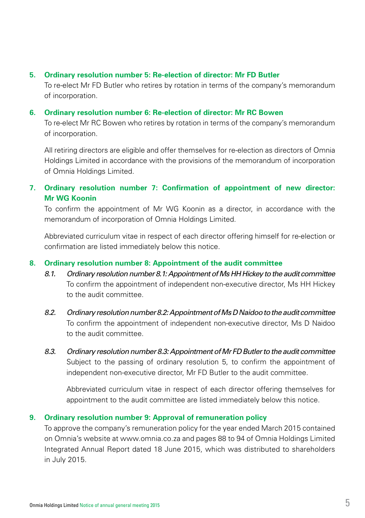#### **5. Ordinary resolution number 5: Re-election of director: Mr FD Butler**

 To re-elect Mr FD Butler who retires by rotation in terms of the company's memorandum of incorporation.

#### **6. Ordinary resolution number 6: Re-election of director: Mr RC Bowen**

 To re-elect Mr RC Bowen who retires by rotation in terms of the company's memorandum of incorporation.

 All retiring directors are eligible and offer themselves for re-election as directors of Omnia Holdings Limited in accordance with the provisions of the memorandum of incorporation of Omnia Holdings Limited.

# **7. Ordinary resolution number 7: Confirmation of appointment of new director: Mr WG Koonin**

 To confirm the appointment of Mr WG Koonin as a director, in accordance with the memorandum of incorporation of Omnia Holdings Limited.

 Abbreviated curriculum vitae in respect of each director offering himself for re-election or confirmation are listed immediately below this notice.

### **8. Ordinary resolution number 8: Appointment of the audit committee**

- *8.1. Ordinary resolution number 8.1: Appointment of Ms HH Hickey to the audit committee* To confirm the appointment of independent non-executive director, Ms HH Hickey to the audit committee.
- *8.2. Ordinary resolution number 8.2: Appointment of Ms D Naidoo to the audit committee* To confirm the appointment of independent non-executive director, Ms D Naidoo to the audit committee.
- *8.3. Ordinary resolution number 8.3: Appointment of Mr FD Butler to the audit committee* Subject to the passing of ordinary resolution 5, to confirm the appointment of independent non-executive director, Mr FD Butler to the audit committee.

 Abbreviated curriculum vitae in respect of each director offering themselves for appointment to the audit committee are listed immediately below this notice.

## **9. Ordinary resolution number 9: Approval of remuneration policy**

 To approve the company's remuneration policy for the year ended March 2015 contained on Omnia's website at www.omnia.co.za and pages 88 to 94 of Omnia Holdings Limited Integrated Annual Report dated 18 June 2015, which was distributed to shareholders in July 2015.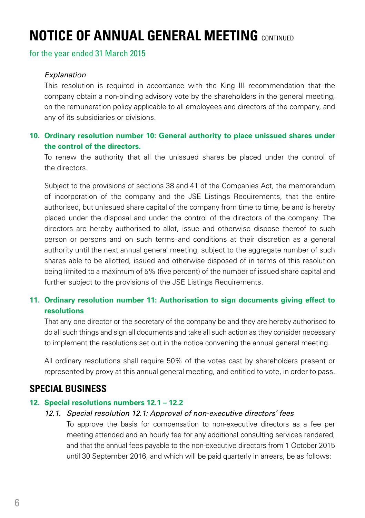# **NOTICE OF ANNUAL GENERAL MEETING** CONTINUED

for the year ended 31 March 2015

## *Explanation*

 This resolution is required in accordance with the King III recommendation that the company obtain a non-binding advisory vote by the shareholders in the general meeting, on the remuneration policy applicable to all employees and directors of the company, and any of its subsidiaries or divisions.

# **10. Ordinary resolution number 10: General authority to place unissued shares under the control of the directors.**

 To renew the authority that all the unissued shares be placed under the control of the directors.

 Subject to the provisions of sections 38 and 41 of the Companies Act, the memorandum of incorporation of the company and the JSE Listings Requirements, that the entire authorised, but unissued share capital of the company from time to time, be and is hereby placed under the disposal and under the control of the directors of the company. The directors are hereby authorised to allot, issue and otherwise dispose thereof to such person or persons and on such terms and conditions at their discretion as a general authority until the next annual general meeting, subject to the aggregate number of such shares able to be allotted, issued and otherwise disposed of in terms of this resolution being limited to a maximum of 5% (five percent) of the number of issued share capital and further subject to the provisions of the JSE Listings Requirements.

# **11. Ordinary resolution number 11: Authorisation to sign documents giving effect to resolutions**

 That any one director or the secretary of the company be and they are hereby authorised to do all such things and sign all documents and take all such action as they consider necessary to implement the resolutions set out in the notice convening the annual general meeting.

 All ordinary resolutions shall require 50% of the votes cast by shareholders present or represented by proxy at this annual general meeting, and entitled to vote, in order to pass.

# **SPECIAL BUSINESS**

## **12. Special resolutions numbers 12.1 – 12.2**

#### *12.1. Special resolution 12.1: Approval of non-executive directors' fees*

 To approve the basis for compensation to non-executive directors as a fee per meeting attended and an hourly fee for any additional consulting services rendered, and that the annual fees payable to the non-executive directors from 1 October 2015 until 30 September 2016, and which will be paid quarterly in arrears, be as follows: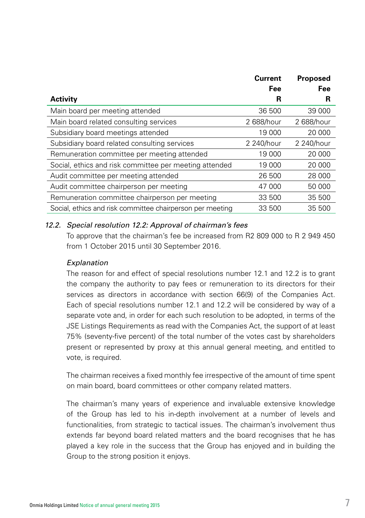|                                                           | <b>Current</b> | <b>Proposed</b> |
|-----------------------------------------------------------|----------------|-----------------|
|                                                           | Fee            | Fee             |
| <b>Activity</b>                                           | R              | R               |
| Main board per meeting attended                           | 36 500         | 39 000          |
| Main board related consulting services                    | 2 688/hour     | 2 688/hour      |
| Subsidiary board meetings attended                        | 19 000         | 20 000          |
| Subsidiary board related consulting services              | 2 240/hour     | 2 240/hour      |
| Remuneration committee per meeting attended               | 19 000         | 20 000          |
| Social, ethics and risk committee per meeting attended    | 19 000         | 20 000          |
| Audit committee per meeting attended                      | 26 500         | 28 000          |
| Audit committee chairperson per meeting                   | 47 000         | 50 000          |
| Remuneration committee chairperson per meeting            | 33 500         | 35 500          |
| Social, ethics and risk committee chairperson per meeting | 33 500         | 35 500          |

## *12.2. Special resolution 12.2: Approval of chairman's fees*

 To approve that the chairman's fee be increased from R2 809 000 to R 2 949 450 from 1 October 2015 until 30 September 2016.

#### *Explanation*

 The reason for and effect of special resolutions number 12.1 and 12.2 is to grant the company the authority to pay fees or remuneration to its directors for their services as directors in accordance with section 66(9) of the Companies Act. Each of special resolutions number 12.1 and 12.2 will be considered by way of a separate vote and, in order for each such resolution to be adopted, in terms of the JSE Listings Requirements as read with the Companies Act, the support of at least 75% (seventy-five percent) of the total number of the votes cast by shareholders present or represented by proxy at this annual general meeting, and entitled to vote, is required.

 The chairman receives a fixed monthly fee irrespective of the amount of time spent on main board, board committees or other company related matters.

 The chairman's many years of experience and invaluable extensive knowledge of the Group has led to his in-depth involvement at a number of levels and functionalities, from strategic to tactical issues. The chairman's involvement thus extends far beyond board related matters and the board recognises that he has played a key role in the success that the Group has enjoyed and in building the Group to the strong position it enjoys.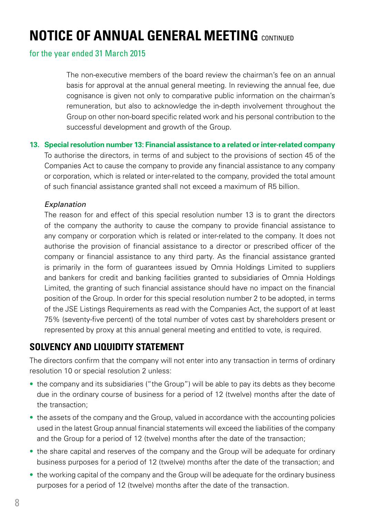# **NOTICE OF ANNUAL GENERAL MEETING** CONTINUED

## for the year ended 31 March 2015

 The non-executive members of the board review the chairman's fee on an annual basis for approval at the annual general meeting. In reviewing the annual fee, due cognisance is given not only to comparative public information on the chairman's remuneration, but also to acknowledge the in-depth involvement throughout the Group on other non-board specific related work and his personal contribution to the successful development and growth of the Group.

**13. Special resolution number 13: Financial assistance to a related or inter-related company** To authorise the directors, in terms of and subject to the provisions of section 45 of the Companies Act to cause the company to provide any financial assistance to any company or corporation, which is related or inter-related to the company, provided the total amount of such financial assistance granted shall not exceed a maximum of R5 billion.

## *Explanation*

 The reason for and effect of this special resolution number 13 is to grant the directors of the company the authority to cause the company to provide financial assistance to any company or corporation which is related or inter-related to the company. It does not authorise the provision of financial assistance to a director or prescribed officer of the company or financial assistance to any third party. As the financial assistance granted is primarily in the form of guarantees issued by Omnia Holdings Limited to suppliers and bankers for credit and banking facilities granted to subsidiaries of Omnia Holdings Limited, the granting of such financial assistance should have no impact on the financial position of the Group. In order for this special resolution number 2 to be adopted, in terms of the JSE Listings Requirements as read with the Companies Act, the support of at least 75% (seventy-five percent) of the total number of votes cast by shareholders present or represented by proxy at this annual general meeting and entitled to vote, is required.

# **SOLVENCY AND LIQUIDITY STATEMENT**

The directors confirm that the company will not enter into any transaction in terms of ordinary resolution 10 or special resolution 2 unless:

- the company and its subsidiaries ("the Group") will be able to pay its debts as they become due in the ordinary course of business for a period of 12 (twelve) months after the date of the transaction;
- the assets of the company and the Group, valued in accordance with the accounting policies used in the latest Group annual financial statements will exceed the liabilities of the company and the Group for a period of 12 (twelve) months after the date of the transaction;
- the share capital and reserves of the company and the Group will be adequate for ordinary business purposes for a period of 12 (twelve) months after the date of the transaction; and
- the working capital of the company and the Group will be adequate for the ordinary business purposes for a period of 12 (twelve) months after the date of the transaction.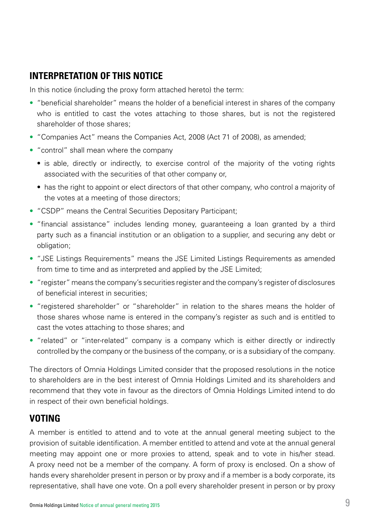# **INTERPRETATION OF THIS NOTICE**

In this notice (including the proxy form attached hereto) the term:

- "beneficial shareholder" means the holder of a beneficial interest in shares of the company who is entitled to cast the votes attaching to those shares, but is not the registered shareholder of those shares;
- "Companies Act" means the Companies Act, 2008 (Act 71 of 2008), as amended;
- "control" shall mean where the company
	- is able, directly or indirectly, to exercise control of the majority of the voting rights associated with the securities of that other company or,
	- has the right to appoint or elect directors of that other company, who control a majority of the votes at a meeting of those directors;
- "CSDP" means the Central Securities Depositary Participant;
- "financial assistance" includes lending money, guaranteeing a loan granted by a third party such as a financial institution or an obligation to a supplier, and securing any debt or obligation;
- "JSE Listings Requirements" means the JSE Limited Listings Requirements as amended from time to time and as interpreted and applied by the JSE Limited;
- "register" means the company's securities register and the company's register of disclosures of beneficial interest in securities;
- "registered shareholder" or "shareholder" in relation to the shares means the holder of those shares whose name is entered in the company's register as such and is entitled to cast the votes attaching to those shares; and
- "related" or "inter-related" company is a company which is either directly or indirectly controlled by the company or the business of the company, or is a subsidiary of the company.

The directors of Omnia Holdings Limited consider that the proposed resolutions in the notice to shareholders are in the best interest of Omnia Holdings Limited and its shareholders and recommend that they vote in favour as the directors of Omnia Holdings Limited intend to do in respect of their own beneficial holdings.

# **VOTING**

A member is entitled to attend and to vote at the annual general meeting subject to the provision of suitable identification. A member entitled to attend and vote at the annual general meeting may appoint one or more proxies to attend, speak and to vote in his/her stead. A proxy need not be a member of the company. A form of proxy is enclosed. On a show of hands every shareholder present in person or by proxy and if a member is a body corporate, its representative, shall have one vote. On a poll every shareholder present in person or by proxy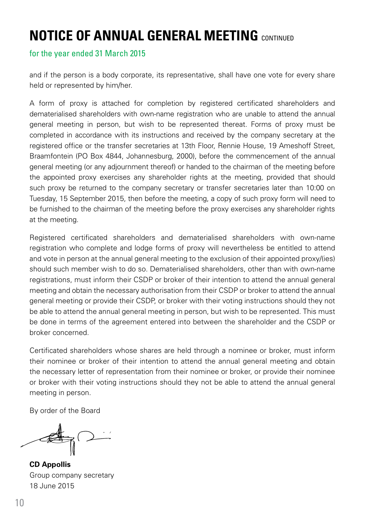# **NOTICE OF ANNUAL GENERAL MEETING** CONTINUED

## for the year ended 31 March 2015

and if the person is a body corporate, its representative, shall have one vote for every share held or represented by him/her.

A form of proxy is attached for completion by registered certificated shareholders and dematerialised shareholders with own-name registration who are unable to attend the annual general meeting in person, but wish to be represented thereat. Forms of proxy must be completed in accordance with its instructions and received by the company secretary at the registered office or the transfer secretaries at 13th Floor, Rennie House, 19 Ameshoff Street, Braamfontein (PO Box 4844, Johannesburg, 2000), before the commencement of the annual general meeting (or any adjournment thereof) or handed to the chairman of the meeting before the appointed proxy exercises any shareholder rights at the meeting, provided that should such proxy be returned to the company secretary or transfer secretaries later than 10:00 on Tuesday, 15 September 2015, then before the meeting, a copy of such proxy form will need to be furnished to the chairman of the meeting before the proxy exercises any shareholder rights at the meeting.

Registered certificated shareholders and dematerialised shareholders with own-name registration who complete and lodge forms of proxy will nevertheless be entitled to attend and vote in person at the annual general meeting to the exclusion of their appointed proxy/(ies) should such member wish to do so. Dematerialised shareholders, other than with own-name registrations, must inform their CSDP or broker of their intention to attend the annual general meeting and obtain the necessary authorisation from their CSDP or broker to attend the annual general meeting or provide their CSDP, or broker with their voting instructions should they not be able to attend the annual general meeting in person, but wish to be represented. This must be done in terms of the agreement entered into between the shareholder and the CSDP or broker concerned.

Certificated shareholders whose shares are held through a nominee or broker, must inform their nominee or broker of their intention to attend the annual general meeting and obtain the necessary letter of representation from their nominee or broker, or provide their nominee or broker with their voting instructions should they not be able to attend the annual general meeting in person.

By order of the Board

**CD Appollis** Group company secretary 18 June 2015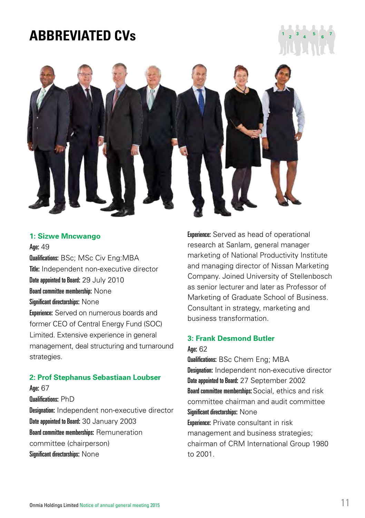# **ABBREVIATED CVs**





#### **1: Sizwe Mncwango**

Age: 49

Qualifications: BSc; MSc Civ Eng:MBA Title: Independent non-executive director Date appointed to Board: 29 July 2010 Board committee membership: None Significant directorships: None Experience: Served on numerous boards and former CEO of Central Energy Fund (SOC) Limited. Extensive experience in general management, deal structuring and turnaround strategies.

#### **2: Prof Stephanus Sebastiaan Loubser**

Age: 67 Qualifications: PhD Designation: Independent non-executive director Date appointed to Board: 30 January 2003 Board committee memberships: Remuneration committee (chairperson) Significant directorships: None

Experience: Served as head of operational research at Sanlam, general manager marketing of National Productivity Institute and managing director of Nissan Marketing Company. Joined University of Stellenbosch as senior lecturer and later as Professor of Marketing of Graduate School of Business. Consultant in strategy, marketing and business transformation.

# **3: Frank Desmond Butler**

Age: 62

Qualifications: BSc Chem Eng; MBA Designation: Independent non-executive director Date appointed to Board: 27 September 2002 Board committee memberships: Social, ethics and risk committee chairman and audit committee Significant directorships: None Experience: Private consultant in risk management and business strategies; chairman of CRM International Group 1980 to 2001.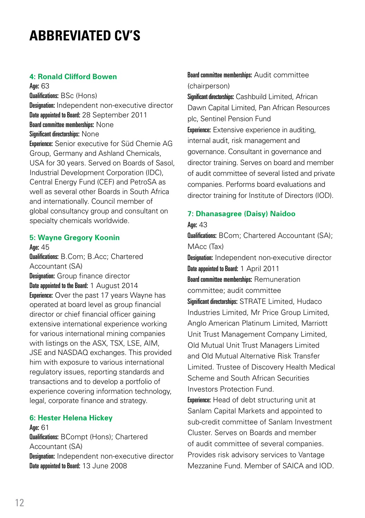# **ABBREVIATED CV'S**

### **4: Ronald Clifford Bowen**

Age: 63 Qualifications: BSc (Hons) Designation: Independent non-executive director Date appointed to Board: 28 September 2011 Board committee memberships: None Significant directorships: None

Experience: Senior executive for Süd Chemie AG Group, Germany and Ashland Chemicals, USA for 30 years. Served on Boards of Sasol, Industrial Development Corporation (IDC), Central Energy Fund (CEF) and PetroSA as well as several other Boards in South Africa and internationally. Council member of global consultancy group and consultant on specialty chemicals worldwide.

#### **5: Wayne Gregory Koonin**

#### Age: 45

Qualifications: B.Com; B.Acc; Chartered Accountant (SA) Designation: Group finance director Date appointed to the Board: 1 August 2014

Experience: Over the past 17 years Wayne has operated at board level as group financial director or chief financial officer gaining extensive international experience working for various international mining companies with listings on the ASX, TSX, LSE, AIM, JSE and NASDAQ exchanges. This provided him with exposure to various international regulatory issues, reporting standards and transactions and to develop a portfolio of experience covering information technology, legal, corporate finance and strategy.

# **6: Hester Helena Hickey**

#### Age: 61

Qualifications: BCompt (Hons); Chartered Accountant (SA) Designation: Independent non-executive director Date appointed to Board: 13 June 2008

## Board committee memberships: Audit committee (chairperson)

Significant directorships: Cashbuild Limited, African Dawn Capital Limited, Pan African Resources plc, Sentinel Pension Fund Experience: Extensive experience in auditing, internal audit, risk management and governance. Consultant in governance and director training. Serves on board and member of audit committee of several listed and private companies. Performs board evaluations and director training for Institute of Directors (IOD).

# **7: Dhanasagree (Daisy) Naidoo**

Age:  $43$ 

Qualifications: BCom; Chartered Accountant (SA); MAcc (Tax)

Designation: Independent non-executive director Date appointed to Board: 1 April 2011

Board committee memberships: Remuneration

committee; audit committee

Significant directorships: STRATE Limited, Hudaco Industries Limited, Mr Price Group Limited, Anglo American Platinum Limited, Marriott Unit Trust Management Company Limited, Old Mutual Unit Trust Managers Limited and Old Mutual Alternative Risk Transfer Limited. Trustee of Discovery Health Medical Scheme and South African Securities Investors Protection Fund.

Experience: Head of debt structuring unit at Sanlam Capital Markets and appointed to sub-credit committee of Sanlam Investment Cluster. Serves on Boards and member of audit committee of several companies. Provides risk advisory services to Vantage Mezzanine Fund. Member of SAICA and IOD.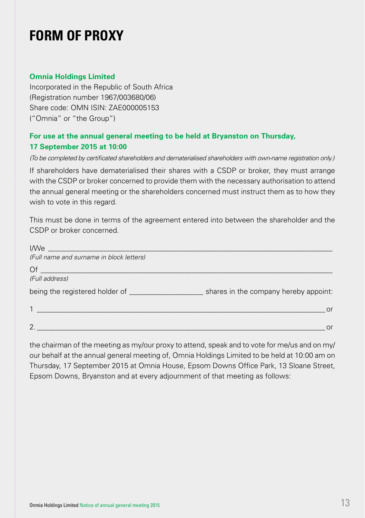# **FORM OF PROXY**

### **Omnia Holdings Limited**

Incorporated in the Republic of South Africa (Registration number 1967/003680/06) Share code: OMN ISIN: ZAE000005153 ("Omnia" or "the Group")

# **For use at the annual general meeting to be held at Bryanston on Thursday, 17 September 2015 at 10:00**

*(To be completed by certificated shareholders and dematerialised shareholders with own-name registration only.)*

If shareholders have dematerialised their shares with a CSDP or broker, they must arrange with the CSDP or broker concerned to provide them with the necessary authorisation to attend the annual general meeting or the shareholders concerned must instruct them as to how they wish to vote in this regard.

This must be done in terms of the agreement entered into between the shareholder and the CSDP or broker concerned.

| (Full name and surname in block letters)                                                                                                                                                                                             |                                       |
|--------------------------------------------------------------------------------------------------------------------------------------------------------------------------------------------------------------------------------------|---------------------------------------|
| Of $\overline{\phantom{a}}$<br>(Full address)                                                                                                                                                                                        |                                       |
| being the registered holder of the control of the control of the control of the control of the control of the control of the control of the control of the control of the control of the control of the control of the control       | shares in the company hereby appoint: |
| <u>and the contract of the contract of the contract of the contract of the contract of the contract of the contract of the contract of the contract of the contract of the contract of the contract of the contract of the contr</u> |                                       |
| $\mathcal{P}$                                                                                                                                                                                                                        | n                                     |

the chairman of the meeting as my/our proxy to attend, speak and to vote for me/us and on my/ our behalf at the annual general meeting of, Omnia Holdings Limited to be held at 10:00 am on Thursday, 17 September 2015 at Omnia House, Epsom Downs Office Park, 13 Sloane Street, Epsom Downs, Bryanston and at every adjournment of that meeting as follows: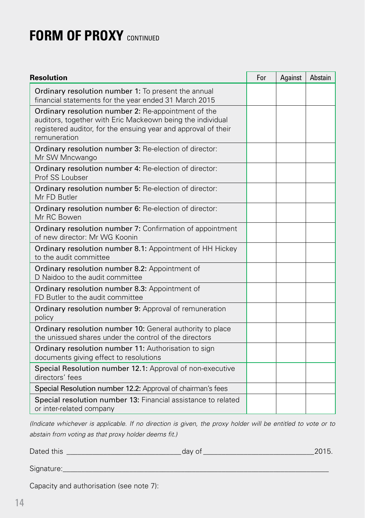# **FORM OF PROXY** CONTINUED

| <b>Resolution</b>                                                                                                                                                                                   |  | Against | Abstain |
|-----------------------------------------------------------------------------------------------------------------------------------------------------------------------------------------------------|--|---------|---------|
| Ordinary resolution number 1: To present the annual<br>financial statements for the year ended 31 March 2015                                                                                        |  |         |         |
| Ordinary resolution number 2: Re-appointment of the<br>auditors, together with Eric Mackeown being the individual<br>registered auditor, for the ensuing year and approval of their<br>remuneration |  |         |         |
| Ordinary resolution number 3: Re-election of director:<br>Mr SW Mncwango                                                                                                                            |  |         |         |
| Ordinary resolution number 4: Re-election of director:<br>Prof SS Loubser                                                                                                                           |  |         |         |
| Ordinary resolution number 5: Re-election of director:<br>Mr FD Butler                                                                                                                              |  |         |         |
| Ordinary resolution number 6: Re-election of director:<br>Mr RC Bowen                                                                                                                               |  |         |         |
| <b>Ordinary resolution number 7: Confirmation of appointment</b><br>of new director: Mr WG Koonin                                                                                                   |  |         |         |
| Ordinary resolution number 8.1: Appointment of HH Hickey<br>to the audit committee                                                                                                                  |  |         |         |
| Ordinary resolution number 8.2: Appointment of<br>D Naidoo to the audit committee                                                                                                                   |  |         |         |
| Ordinary resolution number 8.3: Appointment of<br>FD Butler to the audit committee                                                                                                                  |  |         |         |
| Ordinary resolution number 9: Approval of remuneration<br>policy                                                                                                                                    |  |         |         |
| Ordinary resolution number 10: General authority to place<br>the unissued shares under the control of the directors                                                                                 |  |         |         |
| Ordinary resolution number 11: Authorisation to sign<br>documents giving effect to resolutions                                                                                                      |  |         |         |
| Special Resolution number 12.1: Approval of non-executive<br>directors' fees                                                                                                                        |  |         |         |
| Special Resolution number 12.2: Approval of chairman's fees                                                                                                                                         |  |         |         |
| Special resolution number 13: Financial assistance to related<br>or inter-related company                                                                                                           |  |         |         |

*(Indicate whichever is applicable. If no direction is given, the proxy holder will be entitled to vote or to abstain from voting as that proxy holder deems fit.)*

| Dated this | day of | 2015. |
|------------|--------|-------|
| Signature: |        |       |
|            |        |       |

Capacity and authorisation (see note 7):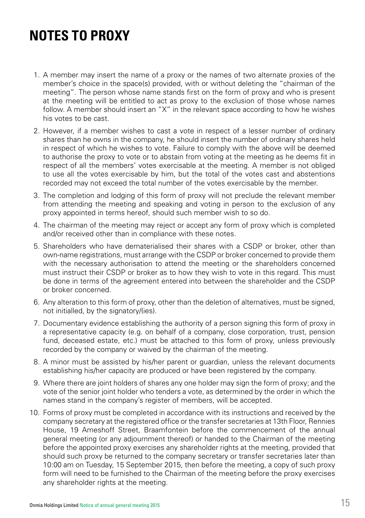# **NOTES TO PROXY**

- 1. A member may insert the name of a proxy or the names of two alternate proxies of the member's choice in the space(s) provided, with or without deleting the "chairman of the meeting". The person whose name stands first on the form of proxy and who is present at the meeting will be entitled to act as proxy to the exclusion of those whose names follow. A member should insert an "X" in the relevant space according to how he wishes his votes to be cast.
- 2. However, if a member wishes to cast a vote in respect of a lesser number of ordinary shares than he owns in the company, he should insert the number of ordinary shares held in respect of which he wishes to vote. Failure to comply with the above will be deemed to authorise the proxy to vote or to abstain from voting at the meeting as he deems fit in respect of all the members' votes exercisable at the meeting. A member is not obliged to use all the votes exercisable by him, but the total of the votes cast and abstentions recorded may not exceed the total number of the votes exercisable by the member.
- 3. The completion and lodging of this form of proxy will not preclude the relevant member from attending the meeting and speaking and voting in person to the exclusion of any proxy appointed in terms hereof, should such member wish to so do.
- 4. The chairman of the meeting may reject or accept any form of proxy which is completed and/or received other than in compliance with these notes.
- 5. Shareholders who have dematerialised their shares with a CSDP or broker, other than own-name registrations, must arrange with the CSDP or broker concerned to provide them with the necessary authorisation to attend the meeting or the shareholders concerned must instruct their CSDP or broker as to how they wish to vote in this regard. This must be done in terms of the agreement entered into between the shareholder and the CSDP or broker concerned.
- 6. Any alteration to this form of proxy, other than the deletion of alternatives, must be signed, not initialled, by the signatory/(ies).
- 7. Documentary evidence establishing the authority of a person signing this form of proxy in a representative capacity (e.g. on behalf of a company, close corporation, trust, pension fund, deceased estate, etc.) must be attached to this form of proxy, unless previously recorded by the company or waived by the chairman of the meeting.
- 8. A minor must be assisted by his/her parent or guardian, unless the relevant documents establishing his/her capacity are produced or have been registered by the company.
- 9. Where there are joint holders of shares any one holder may sign the form of proxy; and the vote of the senior joint holder who tenders a vote, as determined by the order in which the names stand in the company's register of members, will be accepted.
- 10. Forms of proxy must be completed in accordance with its instructions and received by the company secretary at the registered office or the transfer secretaries at 13th Floor, Rennies House, 19 Ameshoff Street, Braamfontein before the commencement of the annual general meeting (or any adjournment thereof) or handed to the Chairman of the meeting before the appointed proxy exercises any shareholder rights at the meeting, provided that should such proxy be returned to the company secretary or transfer secretaries later than 10:00 am on Tuesday, 15 September 2015, then before the meeting, a copy of such proxy form will need to be furnished to the Chairman of the meeting before the proxy exercises any shareholder rights at the meeting.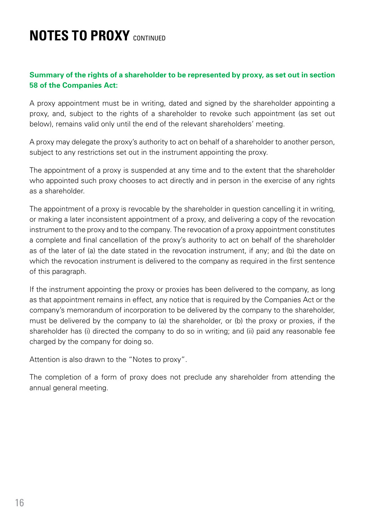# **NOTES TO PROXY** CONTINUED

# **Summary of the rights of a shareholder to be represented by proxy, as set out in section 58 of the Companies Act:**

A proxy appointment must be in writing, dated and signed by the shareholder appointing a proxy, and, subject to the rights of a shareholder to revoke such appointment (as set out below), remains valid only until the end of the relevant shareholders' meeting.

A proxy may delegate the proxy's authority to act on behalf of a shareholder to another person, subject to any restrictions set out in the instrument appointing the proxy.

The appointment of a proxy is suspended at any time and to the extent that the shareholder who appointed such proxy chooses to act directly and in person in the exercise of any rights as a shareholder.

The appointment of a proxy is revocable by the shareholder in question cancelling it in writing, or making a later inconsistent appointment of a proxy, and delivering a copy of the revocation instrument to the proxy and to the company. The revocation of a proxy appointment constitutes a complete and final cancellation of the proxy's authority to act on behalf of the shareholder as of the later of (a) the date stated in the revocation instrument, if any; and (b) the date on which the revocation instrument is delivered to the company as required in the first sentence of this paragraph.

If the instrument appointing the proxy or proxies has been delivered to the company, as long as that appointment remains in effect, any notice that is required by the Companies Act or the company's memorandum of incorporation to be delivered by the company to the shareholder, must be delivered by the company to (a) the shareholder, or (b) the proxy or proxies, if the shareholder has (i) directed the company to do so in writing; and (ii) paid any reasonable fee charged by the company for doing so.

Attention is also drawn to the "Notes to proxy".

The completion of a form of proxy does not preclude any shareholder from attending the annual general meeting.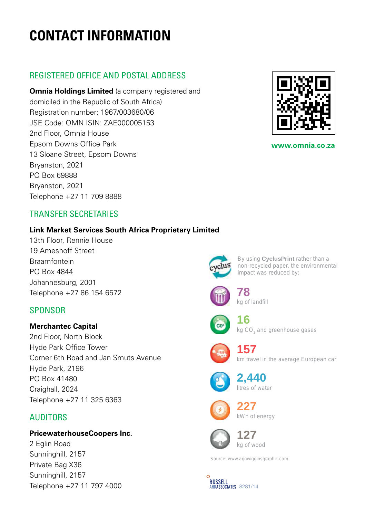# **CONTACT INFORMATION**

# REGISTERED OFFICE AND POSTAL ADDRESS

**Omnia Holdings Limited** (a company registered and domiciled in the Republic of South Africa) Registration number: 1967/003680/06 JSE Code: OMN ISIN: ZAE000005153 2nd Floor, Omnia House Epsom Downs Office Park 13 Sloane Street, Epsom Downs Bryanston, 2021 PO Box 69888 Bryanston, 2021 Telephone +27 11 709 8888



**www.omnia.co.za**

# TRANSFER SECRETARIES

## **Link Market Services South Africa Proprietary Limited**

13th Floor, Rennie House 19 Ameshoff Street Braamfontein PO Box 4844 Johannesburg, 2001 Telephone +27 86 154 6572

# SPONSOR

## **Merchantec Capital**

2nd Floor, North Block Hyde Park Office Tower Corner 6th Road and Jan Smuts Avenue Hyde Park, 2196 PO Box 41480 Craighall, 2024 Telephone +27 11 325 6363

# **AUDITORS**

## **PricewaterhouseCoopers Inc.**

2 Eglin Road Sunninghill, 2157 Private Bag X36 Sunninghill, 2157 Telephone +27 11 797 4000



By using **CyclusPrint** rather than a non-recycled paper, the environmental impact was reduced by:



kg of landfill **78**



kg CO<sub>2</sub> and greenhouse gases **16**



km travel in the average European car **157**



litres of water **2,440**



kWh of energy **227**



kg of wood **127**

Source: www.arjowigginsgraphic.com